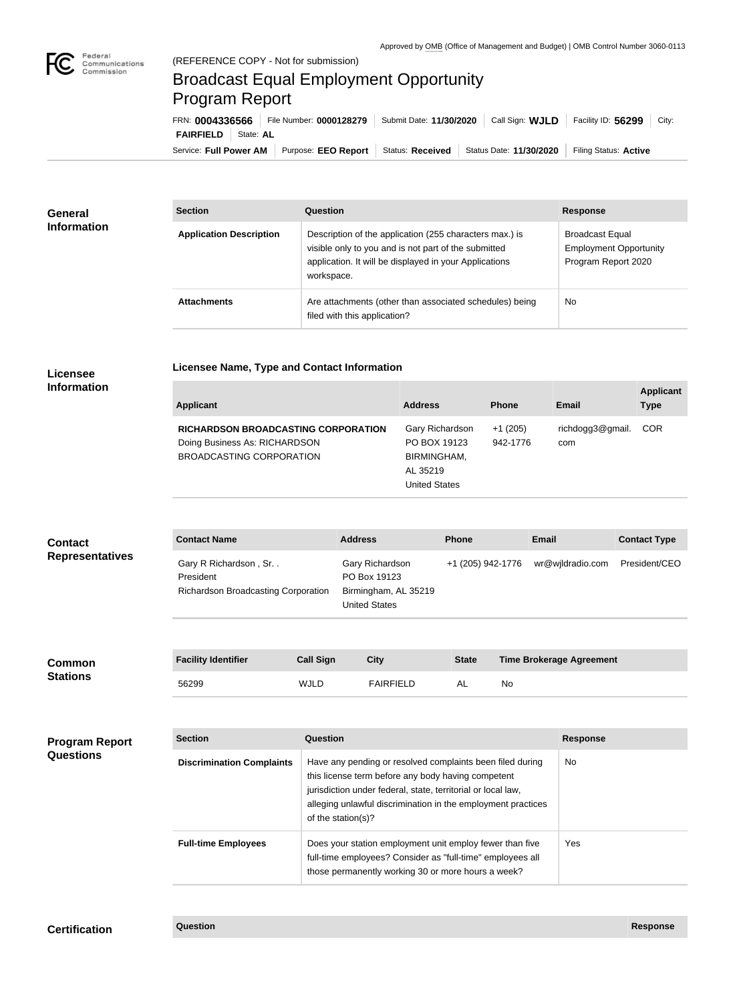

## Broadcast Equal Employment Opportunity Program Report

**Licensee Name, Type and Contact Information**

Service: Full Power AM | Purpose: EEO Report | Status: Received | Status Date: 11/30/2020 | Filing Status: Active **FAIRFIELD** | State: AL FRN: **0004336566** File Number: **0000128279** Submit Date: **11/30/2020** Call Sign: **WJLD** Facility ID: **56299** City:

| <b>General</b><br><b>Information</b> | <b>Section</b>                 | Question                                                                                                                                                                                | <b>Response</b>                                                                |  |
|--------------------------------------|--------------------------------|-----------------------------------------------------------------------------------------------------------------------------------------------------------------------------------------|--------------------------------------------------------------------------------|--|
|                                      | <b>Application Description</b> | Description of the application (255 characters max.) is<br>visible only to you and is not part of the submitted<br>application. It will be displayed in your Applications<br>workspace. | <b>Broadcast Equal</b><br><b>Employment Opportunity</b><br>Program Report 2020 |  |
|                                      | <b>Attachments</b>             | Are attachments (other than associated schedules) being<br>filed with this application?                                                                                                 | No                                                                             |  |

## **Licensee Information**

| richdogg3@gmail.<br>Gary Richardson<br>$+1(205)$<br><b>RICHARDSON BROADCASTING CORPORATION</b><br>Doing Business As: RICHARDSON<br>PO BOX 19123<br>942-1776<br>com<br>BROADCASTING CORPORATION<br>BIRMINGHAM,<br>AL 35219<br><b>United States</b> | <b>COR</b> |
|---------------------------------------------------------------------------------------------------------------------------------------------------------------------------------------------------------------------------------------------------|------------|

| <b>Contact</b>         | <b>Contact Name</b>                                                              | <b>Address</b>                                                                  | <b>Phone</b>      | Email            | <b>Contact Type</b> |
|------------------------|----------------------------------------------------------------------------------|---------------------------------------------------------------------------------|-------------------|------------------|---------------------|
| <b>Representatives</b> | Gary R Richardson, Sr<br>President<br><b>Richardson Broadcasting Corporation</b> | Gary Richardson<br>PO Box 19123<br>Birmingham, AL 35219<br><b>United States</b> | +1 (205) 942-1776 | wr@wjldradio.com | President/CEO       |

| <b>Common</b><br><b>Stations</b> | <b>Facility Identifier</b> | <b>Call Sign</b> | City             | <b>State</b> | <b>Time Brokerage Agreement</b> |
|----------------------------------|----------------------------|------------------|------------------|--------------|---------------------------------|
|                                  | 56299                      | <b>WJLD</b>      | <b>FAIRFIELD</b> | AL           | No                              |

| <b>Program Report</b><br><b>Questions</b> | <b>Section</b>                   | Question                                                                                                                                                                                                                                                              | <b>Response</b> |
|-------------------------------------------|----------------------------------|-----------------------------------------------------------------------------------------------------------------------------------------------------------------------------------------------------------------------------------------------------------------------|-----------------|
|                                           | <b>Discrimination Complaints</b> | Have any pending or resolved complaints been filed during<br>this license term before any body having competent<br>jurisdiction under federal, state, territorial or local law,<br>alleging unlawful discrimination in the employment practices<br>of the station(s)? | No.             |
|                                           | <b>Full-time Employees</b>       | Does your station employment unit employ fewer than five<br>full-time employees? Consider as "full-time" employees all<br>those permanently working 30 or more hours a week?                                                                                          | Yes             |